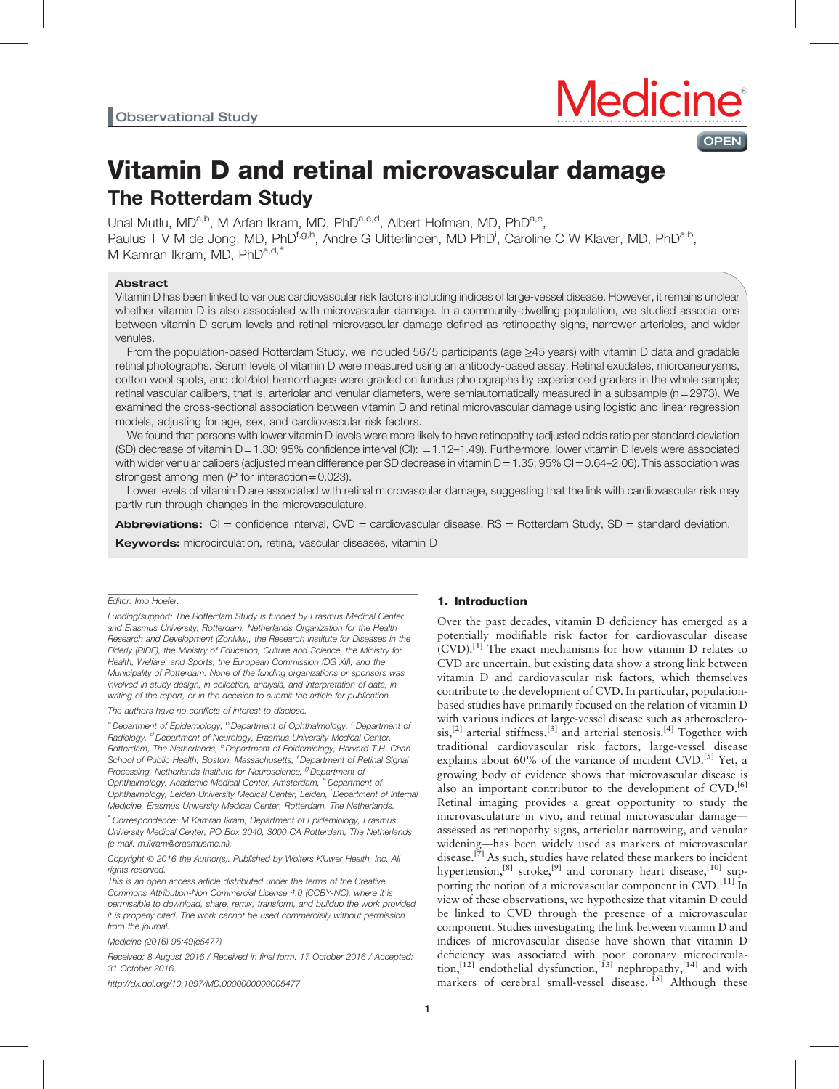

# Vitamin D and retinal microvascular damage The Rotterdam Study

Unal Mutlu, MD<sup>a,b</sup>, M Arfan Ikram, MD, PhD<sup>a,c,d</sup>, Albert Hofman, MD, PhD<sup>a,e</sup>, Paulus T V M de Jong, MD, PhD<sup>f,g,h</sup>, Andre G Uitterlinden, MD PhD<sup>i</sup>, Caroline C W Klaver, MD, PhD<sup>a,b</sup>, M Kamran Ikram, MD, PhD<sup>a,d,\*</sup>

# Abstract

Vitamin D has been linked to various cardiovascular risk factors including indices of large-vessel disease. However, it remains unclear whether vitamin D is also associated with microvascular damage. In a community-dwelling population, we studied associations between vitamin D serum levels and retinal microvascular damage defined as retinopathy signs, narrower arterioles, and wider venules.

From the population-based Rotterdam Study, we included 5675 participants (age ≥45 years) with vitamin D data and gradable retinal photographs. Serum levels of vitamin D were measured using an antibody-based assay. Retinal exudates, microaneurysms, cotton wool spots, and dot/blot hemorrhages were graded on fundus photographs by experienced graders in the whole sample; retinal vascular calibers, that is, arteriolar and venular diameters, were semiautomatically measured in a subsample (n=2973). We examined the cross-sectional association between vitamin D and retinal microvascular damage using logistic and linear regression models, adjusting for age, sex, and cardiovascular risk factors.

We found that persons with lower vitamin D levels were more likely to have retinopathy (adjusted odds ratio per standard deviation (SD) decrease of vitamin D=1.30; 95% confidence interval (CI): =1.12–1.49). Furthermore, lower vitamin D levels were associated with wider venular calibers (adjusted mean difference per SD decrease in vitamin D = 1.35; 95% CI = 0.64–2.06). This association was strongest among men  $(P$  for interaction=0.023).

Lower levels of vitamin D are associated with retinal microvascular damage, suggesting that the link with cardiovascular risk may partly run through changes in the microvasculature.

**Abbreviations:**  $Cl =$  confidence interval,  $CVD =$  cardiovascular disease,  $RS =$  Rotterdam Study,  $SD =$  standard deviation.

**Keywords:** microcirculation, retina, vascular diseases, vitamin D

#### Editor: Imo Hoefer.

Funding/support: The Rotterdam Study is funded by Erasmus Medical Center and Erasmus University, Rotterdam, Netherlands Organization for the Health Research and Development (ZonMw), the Research Institute for Diseases in the Elderly (RIDE), the Ministry of Education, Culture and Science, the Ministry for Health, Welfare, and Sports, the European Commission (DG XII), and the Municipality of Rotterdam. None of the funding organizations or sponsors was involved in study design, in collection, analysis, and interpretation of data, in writing of the report, or in the decision to submit the article for publication.

## The authors have no conflicts of interest to disclose.

 ${}^{a}$ Department of Epidemiology,  ${}^{b}$  Department of Ophthalmology,  ${}^{c}$  Department of Radiology, <sup>d</sup> Department of Neurology, Erasmus University Medical Center, Rotterdam, The Netherlands, <sup>e</sup> Department of Epidemiology, Harvard T.H. Chan School of Public Health, Boston, Massachusetts, <sup>f</sup> Department of Retinal Signal Processing, Netherlands Institute for Neuroscience, <sup>g</sup> Department of Ophthalmology, Academic Medical Center, Amsterdam, <sup>h</sup>Department of Ophthalmology, Leiden University Medical Center, Leiden, <sup>i</sup> Department of Internal Medicine, Erasmus University Medical Center, Rotterdam, The Netherlands.

∗ Correspondence: M Kamran Ikram, Department of Epidemiology, Erasmus University Medical Center, PO Box 2040, 3000 CA Rotterdam, The Netherlands (e-mail: [m.ikram@erasmusmc.nl\)](mailto:m.ikram@erasmusmc.nl).

Copyright © 2016 the Author(s). Published by Wolters Kluwer Health, Inc. All rights reserved.

This is an open access article distributed under the terms of the Creative Commons Attribution-Non Commercial License 4.0 (CCBY-NC), where it is permissible to download, share, remix, transform, and buildup the work provided it is properly cited. The work cannot be used commercially without permission from the journal.

Medicine (2016) 95:49(e5477)

Received: 8 August 2016 / Received in final form: 17 October 2016 / Accepted: 31 October 2016

<http://dx.doi.org/10.1097/MD.0000000000005477>

# 1. Introduction

Over the past decades, vitamin D deficiency has emerged as a potentially modifiable risk factor for cardiovascular disease  $(CVD)$ .<sup>[\[1\]](#page-4-0)</sup> The exact mechanisms for how vitamin D relates to CVD are uncertain, but existing data show a strong link between vitamin D and cardiovascular risk factors, which themselves contribute to the development of CVD. In particular, populationbased studies have primarily focused on the relation of vitamin D with various indices of large-vessel disease such as atherosclero $sis,$ <sup>[\[2\]](#page-4-0)</sup> arterial stiffness,<sup>[\[3\]](#page-4-0)</sup> and arterial stenosis.<sup>[\[4\]](#page-4-0)</sup> Together with traditional cardiovascular risk factors, large-vessel disease explains about 60% of the variance of incident CVD.<sup>[\[5\]](#page-4-0)</sup> Yet, a growing body of evidence shows that microvascular disease is also an important contributor to the development of CVD.<sup>[\[6\]](#page-4-0)</sup> Retinal imaging provides a great opportunity to study the microvasculature in vivo, and retinal microvascular damage assessed as retinopathy signs, arteriolar narrowing, and venular widening—has been widely used as markers of microvascular disease.<sup>[\[7\]](#page-4-0)</sup> As such, studies have related these markers to incident hypertension,<sup>[\[8\]](#page-4-0)</sup> stroke,<sup>[9]</sup> and coronary heart disease,<sup>[\[10\]](#page-4-0)</sup> sup-porting the notion of a microvascular component in CVD.<sup>[\[11\]](#page-4-0)</sup> In view of these observations, we hypothesize that vitamin D could be linked to CVD through the presence of a microvascular component. Studies investigating the link between vitamin D and indices of microvascular disease have shown that vitamin D deficiency was associated with poor coronary microcircula-tion,<sup>[\[12\]](#page-4-0)</sup> endothelial dysfunction,<sup>[\[13\]](#page-4-0)</sup> nephropathy,<sup>[\[14\]](#page-4-0)</sup> and with markers of cerebral small-vessel disease.<sup>[\[15\]](#page-4-0)</sup> Although these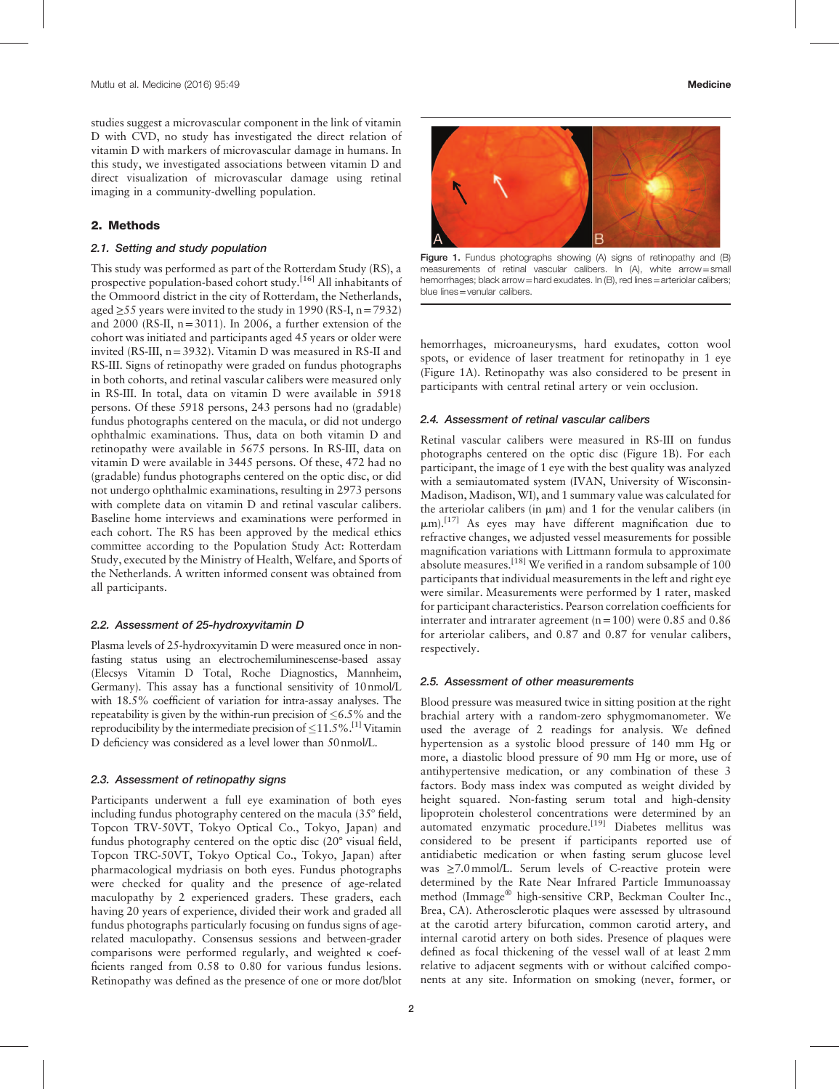studies suggest a microvascular component in the link of vitamin D with CVD, no study has investigated the direct relation of vitamin D with markers of microvascular damage in humans. In this study, we investigated associations between vitamin D and direct visualization of microvascular damage using retinal imaging in a community-dwelling population.

## 2. Methods

#### 2.1. Setting and study population

This study was performed as part of the Rotterdam Study (RS), a prospective population-based cohort study.<sup>[\[16\]](#page-4-0)</sup> All inhabitants of the Ommoord district in the city of Rotterdam, the Netherlands, aged  $\geq$ 55 years were invited to the study in 1990 (RS-I, n = 7932) and 2000 (RS-II,  $n=3011$ ). In 2006, a further extension of the cohort was initiated and participants aged 45 years or older were invited (RS-III, n=3932). Vitamin D was measured in RS-II and RS-III. Signs of retinopathy were graded on fundus photographs in both cohorts, and retinal vascular calibers were measured only in RS-III. In total, data on vitamin D were available in 5918 persons. Of these 5918 persons, 243 persons had no (gradable) fundus photographs centered on the macula, or did not undergo ophthalmic examinations. Thus, data on both vitamin D and retinopathy were available in 5675 persons. In RS-III, data on vitamin D were available in 3445 persons. Of these, 472 had no (gradable) fundus photographs centered on the optic disc, or did not undergo ophthalmic examinations, resulting in 2973 persons with complete data on vitamin D and retinal vascular calibers. Baseline home interviews and examinations were performed in each cohort. The RS has been approved by the medical ethics committee according to the Population Study Act: Rotterdam Study, executed by the Ministry of Health, Welfare, and Sports of the Netherlands. A written informed consent was obtained from all participants.

#### 2.2. Assessment of 25-hydroxyvitamin D

Plasma levels of 25-hydroxyvitamin D were measured once in nonfasting status using an electrochemiluminescense-based assay (Elecsys Vitamin D Total, Roche Diagnostics, Mannheim, Germany). This assay has a functional sensitivity of 10nmol/L with 18.5% coefficient of variation for intra-assay analyses. The repeatability is given by the within-run precision of  $\leq 6.5\%$  and the reproducibility by the intermediate precision of  $\leq 11.5\%$ .<sup>[\[1\]](#page-4-0)</sup> Vitamin D deficiency was considered as a level lower than 50nmol/L.

#### 2.3. Assessment of retinopathy signs

Participants underwent a full eye examination of both eyes including fundus photography centered on the macula (35° field, Topcon TRV-50VT, Tokyo Optical Co., Tokyo, Japan) and fundus photography centered on the optic disc (20° visual field, Topcon TRC-50VT, Tokyo Optical Co., Tokyo, Japan) after pharmacological mydriasis on both eyes. Fundus photographs were checked for quality and the presence of age-related maculopathy by 2 experienced graders. These graders, each having 20 years of experience, divided their work and graded all fundus photographs particularly focusing on fundus signs of agerelated maculopathy. Consensus sessions and between-grader comparisons were performed regularly, and weighted  $\kappa$  coefficients ranged from 0.58 to 0.80 for various fundus lesions. Retinopathy was defined as the presence of one or more dot/blot



Figure 1. Fundus photographs showing (A) signs of retinopathy and (B) measurements of retinal vascular calibers. In (A), white arrow=small hemorrhages; black arrow = hard exudates. In (B), red lines = arteriolar calibers; blue lines=venular calibers.

hemorrhages, microaneurysms, hard exudates, cotton wool spots, or evidence of laser treatment for retinopathy in 1 eye (Figure 1A). Retinopathy was also considered to be present in participants with central retinal artery or vein occlusion.

## 2.4. Assessment of retinal vascular calibers

Retinal vascular calibers were measured in RS-III on fundus photographs centered on the optic disc (Figure 1B). For each participant, the image of 1 eye with the best quality was analyzed with a semiautomated system (IVAN, University of Wisconsin-Madison, Madison, WI), and 1 summary value was calculated for the arteriolar calibers (in  $\mu$ m) and 1 for the venular calibers (in  $\mu$ m).<sup>[\[17\]](#page-4-0)</sup> As eyes may have different magnification due to refractive changes, we adjusted vessel measurements for possible magnification variations with Littmann formula to approximate absolute measures.[\[18\]](#page-4-0) We verified in a random subsample of 100 participants that individual measurements in the left and right eye were similar. Measurements were performed by 1 rater, masked for participant characteristics. Pearson correlation coefficients for interrater and intrarater agreement ( $n=100$ ) were 0.85 and 0.86 for arteriolar calibers, and 0.87 and 0.87 for venular calibers, respectively.

#### 2.5. Assessment of other measurements

Blood pressure was measured twice in sitting position at the right brachial artery with a random-zero sphygmomanometer. We used the average of 2 readings for analysis. We defined hypertension as a systolic blood pressure of 140 mm Hg or more, a diastolic blood pressure of 90 mm Hg or more, use of antihypertensive medication, or any combination of these 3 factors. Body mass index was computed as weight divided by height squared. Non-fasting serum total and high-density lipoprotein cholesterol concentrations were determined by an automated enzymatic procedure.<sup>[\[19\]](#page-4-0)</sup> Diabetes mellitus was considered to be present if participants reported use of antidiabetic medication or when fasting serum glucose level was ≥7.0mmol/L. Serum levels of C-reactive protein were determined by the Rate Near Infrared Particle Immunoassay method (Immage® high-sensitive CRP, Beckman Coulter Inc., Brea, CA). Atherosclerotic plaques were assessed by ultrasound at the carotid artery bifurcation, common carotid artery, and internal carotid artery on both sides. Presence of plaques were defined as focal thickening of the vessel wall of at least 2mm relative to adjacent segments with or without calcified components at any site. Information on smoking (never, former, or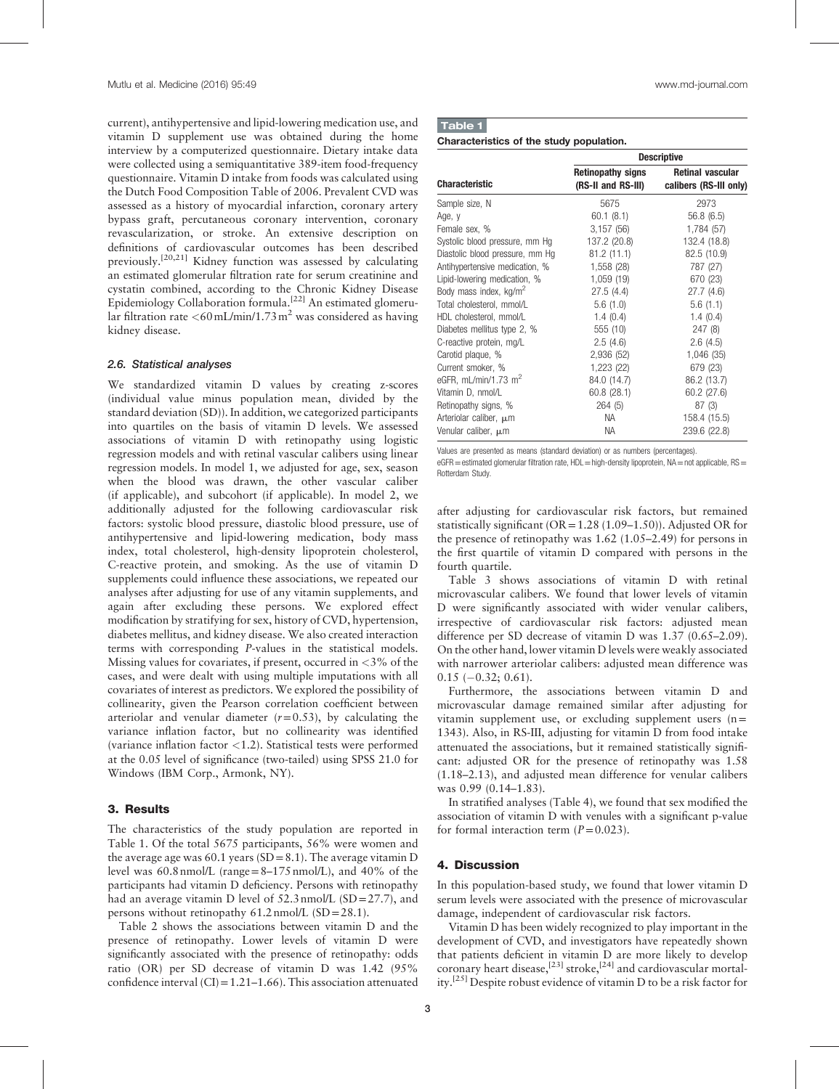current), antihypertensive and lipid-lowering medication use, and vitamin D supplement use was obtained during the home interview by a computerized questionnaire. Dietary intake data were collected using a semiquantitative 389-item food-frequency questionnaire. Vitamin D intake from foods was calculated using the Dutch Food Composition Table of 2006. Prevalent CVD was assessed as a history of myocardial infarction, coronary artery bypass graft, percutaneous coronary intervention, coronary revascularization, or stroke. An extensive description on definitions of cardiovascular outcomes has been described previously.<sup>[20,21]</sup> Kidney function was assessed by calculating an estimated glomerular filtration rate for serum creatinine and cystatin combined, according to the Chronic Kidney Disease Epidemiology Collaboration formula.[\[22\]](#page-5-0) An estimated glomerular filtration rate <60 mL/min/1.73 m<sup>2</sup> was considered as having kidney disease.

#### 2.6. Statistical analyses

We standardized vitamin D values by creating z-scores (individual value minus population mean, divided by the standard deviation (SD)). In addition, we categorized participants into quartiles on the basis of vitamin D levels. We assessed associations of vitamin D with retinopathy using logistic regression models and with retinal vascular calibers using linear regression models. In model 1, we adjusted for age, sex, season when the blood was drawn, the other vascular caliber (if applicable), and subcohort (if applicable). In model 2, we additionally adjusted for the following cardiovascular risk factors: systolic blood pressure, diastolic blood pressure, use of antihypertensive and lipid-lowering medication, body mass index, total cholesterol, high-density lipoprotein cholesterol, C-reactive protein, and smoking. As the use of vitamin D supplements could influence these associations, we repeated our analyses after adjusting for use of any vitamin supplements, and again after excluding these persons. We explored effect modification by stratifying for sex, history of CVD, hypertension, diabetes mellitus, and kidney disease. We also created interaction terms with corresponding P-values in the statistical models. Missing values for covariates, if present, occurred in  $\langle 3\%$  of the cases, and were dealt with using multiple imputations with all covariates of interest as predictors. We explored the possibility of collinearity, given the Pearson correlation coefficient between arteriolar and venular diameter  $(r=0.53)$ , by calculating the variance inflation factor, but no collinearity was identified (variance inflation factor <1.2). Statistical tests were performed at the 0.05 level of significance (two-tailed) using SPSS 21.0 for Windows (IBM Corp., Armonk, NY).

## 3. Results

The characteristics of the study population are reported in Table 1. Of the total 5675 participants, 56% were women and the average age was  $60.1$  years (SD = 8.1). The average vitamin D level was 60.8 nmol/L (range=8–175 nmol/L), and 40% of the participants had vitamin D deficiency. Persons with retinopathy had an average vitamin D level of  $52.3 \text{ nmol/L}$  (SD=27.7), and persons without retinopathy  $61.2$  nmol/L  $(SD=28.1)$ .

[Table 2](#page-3-0) shows the associations between vitamin D and the presence of retinopathy. Lower levels of vitamin D were significantly associated with the presence of retinopathy: odds ratio (OR) per SD decrease of vitamin D was 1.42 (95% confidence interval  $(CI) = 1.21-1.66$ ). This association attenuated

# Table 1

Characteristics of the study population.

|                                    | <b>Descriptive</b>                             |                                                   |  |
|------------------------------------|------------------------------------------------|---------------------------------------------------|--|
| <b>Characteristic</b>              | <b>Retinopathy signs</b><br>(RS-II and RS-III) | <b>Retinal vascular</b><br>calibers (RS-III only) |  |
| Sample size, N                     | 5675                                           | 2973                                              |  |
| Age, y                             | 60.1(8.1)                                      | 56.8 (6.5)                                        |  |
| Female sex, %                      | 3,157 (56)                                     | 1,784 (57)                                        |  |
| Systolic blood pressure, mm Hg     | 137.2 (20.8)                                   | 132.4 (18.8)                                      |  |
| Diastolic blood pressure, mm Hg    | 81.2 (11.1)                                    | 82.5 (10.9)                                       |  |
| Antihypertensive medication, %     | 1,558 (28)                                     | 787 (27)                                          |  |
| Lipid-lowering medication, %       | 1,059 (19)                                     | 670 (23)                                          |  |
| Body mass index, kg/m <sup>2</sup> | 27.5(4.4)                                      | 27.7(4.6)                                         |  |
| Total cholesterol, mmol/L          | 5.6(1.0)                                       | 5.6(1.1)                                          |  |
| HDL cholesterol, mmol/L            | 1.4(0.4)                                       | 1.4(0.4)                                          |  |
| Diabetes mellitus type 2, %        | 555 (10)                                       | 247(8)                                            |  |
| C-reactive protein, mg/L           | 2.5(4.6)                                       | 2.6(4.5)                                          |  |
| Carotid plaque, %                  | 2,936 (52)                                     | 1,046 (35)                                        |  |
| Current smoker, %                  | 1,223 (22)                                     | 679 (23)                                          |  |
| eGFR, $mL/min/1.73 m2$             | 84.0 (14.7)                                    | 86.2 (13.7)                                       |  |
| Vitamin D, nmol/L                  | 60.8(28.1)                                     | 60.2 (27.6)                                       |  |
| Retinopathy signs, %               | 264(5)                                         | 87(3)                                             |  |
| Arteriolar caliber, $\mu$ m        | <b>NA</b>                                      | 158.4 (15.5)                                      |  |
| Venular caliber, um                | <b>NA</b>                                      | 239.6 (22.8)                                      |  |

Values are presented as means (standard deviation) or as numbers (percentages).  $e$ GFR = estimated glomerular filtration rate, HDL = high-density lipoprotein, NA = not applicable, RS =

Rotterdam Study.

after adjusting for cardiovascular risk factors, but remained statistically significant ( $OR = 1.28$  (1.09–1.50)). Adjusted OR for the presence of retinopathy was 1.62 (1.05–2.49) for persons in the first quartile of vitamin D compared with persons in the fourth quartile.

[Table 3](#page-3-0) shows associations of vitamin D with retinal microvascular calibers. We found that lower levels of vitamin D were significantly associated with wider venular calibers, irrespective of cardiovascular risk factors: adjusted mean difference per SD decrease of vitamin D was 1.37 (0.65–2.09). On the other hand, lower vitamin D levels were weakly associated with narrower arteriolar calibers: adjusted mean difference was  $0.15$  ( $-0.32$ ; 0.61).

Furthermore, the associations between vitamin D and microvascular damage remained similar after adjusting for vitamin supplement use, or excluding supplement users  $(n=$ 1343). Also, in RS-III, adjusting for vitamin D from food intake attenuated the associations, but it remained statistically significant: adjusted OR for the presence of retinopathy was 1.58 (1.18–2.13), and adjusted mean difference for venular calibers was 0.99 (0.14–1.83).

In stratified analyses [\(Table 4](#page-3-0)), we found that sex modified the association of vitamin D with venules with a significant p-value for formal interaction term  $(P=0.023)$ .

## 4. Discussion

In this population-based study, we found that lower vitamin D serum levels were associated with the presence of microvascular damage, independent of cardiovascular risk factors.

Vitamin D has been widely recognized to play important in the development of CVD, and investigators have repeatedly shown that patients deficient in vitamin D are more likely to develop coronary heart disease,<sup>[\[23\]](#page-5-0)</sup> stroke,<sup>[\[24\]](#page-5-0)</sup> and cardiovascular mortality[.\[25\]](#page-5-0) Despite robust evidence of vitamin D to be a risk factor for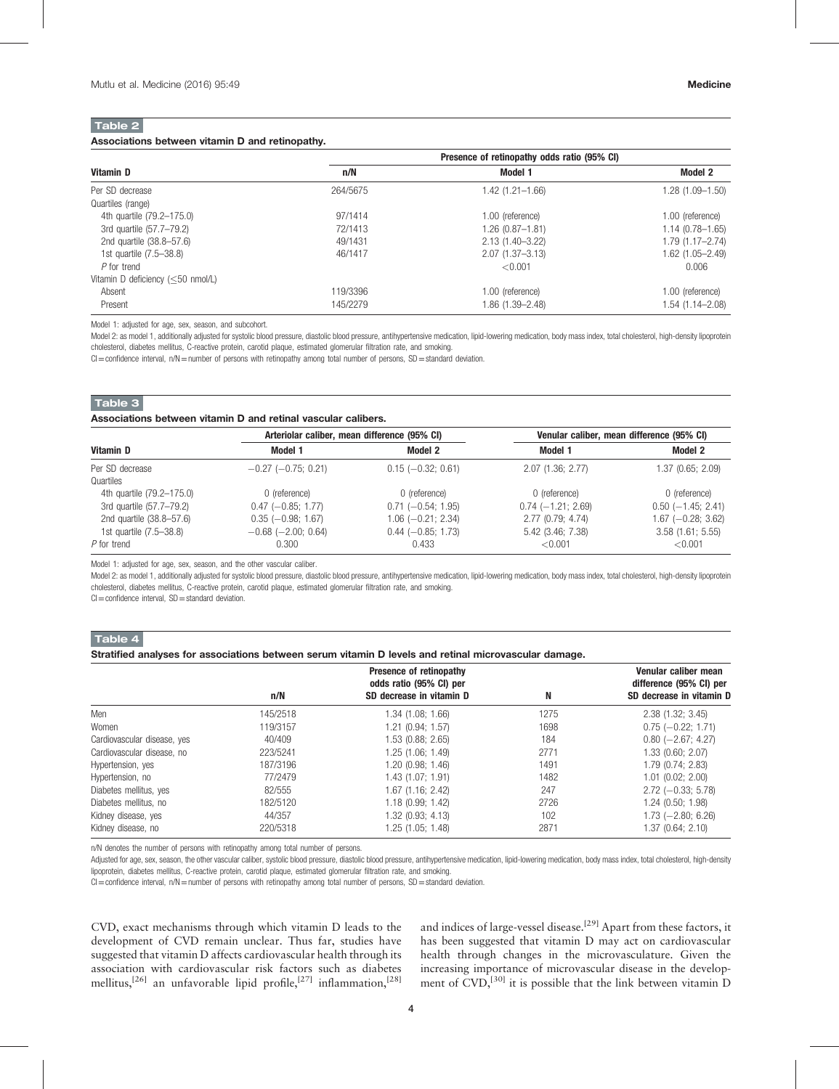# <span id="page-3-0"></span>Table 2

# Associations between vitamin D and retinopathy.

| Vitamin D                         | Presence of retinopathy odds ratio (95% CI) |                     |                     |  |
|-----------------------------------|---------------------------------------------|---------------------|---------------------|--|
|                                   | n/N                                         | Model 1             | Model 2             |  |
| Per SD decrease                   | 264/5675                                    | 1.42 (1.21-1.66)    | $1.28(1.09 - 1.50)$ |  |
| Quartiles (range)                 |                                             |                     |                     |  |
| 4th quartile (79.2–175.0)         | 97/1414                                     | 1.00 (reference)    | 1.00 (reference)    |  |
| 3rd quartile (57.7–79.2)          | 72/1413                                     | $1.26(0.87 - 1.81)$ | $1.14(0.78 - 1.65)$ |  |
| 2nd quartile (38.8–57.6)          | 49/1431                                     | $2.13(1.40 - 3.22)$ | $1.79(1.17 - 2.74)$ |  |
| 1st quartile (7.5–38.8)           | 46/1417                                     | $2.07(1.37 - 3.13)$ | $1.62(1.05 - 2.49)$ |  |
| P for trend                       |                                             | < 0.001             | 0.006               |  |
| Vitamin D deficiency (<50 nmol/L) |                                             |                     |                     |  |
| Absent                            | 119/3396                                    | 1.00 (reference)    | 1.00 (reference)    |  |
| Present                           | 145/2279                                    | 1.86 (1.39-2.48)    | 1.54 (1.14-2.08)    |  |

Model 1: adjusted for age, sex, season, and subcohort.

Model 2: as model 1, additionally adjusted for systolic blood pressure, diastolic blood pressure, antihypertensive medication, lipid-lowering medication, body mass index, total cholesterol, high-density lipoprotein cholesterol, diabetes mellitus, C-reactive protein, carotid plaque, estimated glomerular filtration rate, and smoking.

CI=confidence interval, n/N=number of persons with retinopathy among total number of persons, SD=standard deviation.

## Table 3

#### Associations between vitamin D and retinal vascular calibers.

|                                                                                                              | Arteriolar caliber, mean difference (95% CI)                                                   |                                                                                           | Venular caliber, mean difference (95% CI)                                         |                                                                                   |
|--------------------------------------------------------------------------------------------------------------|------------------------------------------------------------------------------------------------|-------------------------------------------------------------------------------------------|-----------------------------------------------------------------------------------|-----------------------------------------------------------------------------------|
| Vitamin D                                                                                                    | Model 1                                                                                        | Model 2                                                                                   | Model 1                                                                           | Model 2                                                                           |
| Per SD decrease<br>Quartiles                                                                                 | $-0.27$ ( $-0.75$ ; 0.21)                                                                      | $0.15$ (-0.32; 0.61)                                                                      | 2.07(1.36; 2.77)                                                                  | 1.37(0.65; 2.09)                                                                  |
| 4th quartile (79.2–175.0)<br>3rd quartile (57.7–79.2)<br>2nd quartile (38.8–57.6)<br>1st quartile (7.5–38.8) | 0 (reference)<br>$0.47$ (-0.85; 1.77)<br>$0.35$ ( $-0.98$ ; 1.67)<br>$-0.68$ ( $-2.00; 0.64$ ) | 0 (reference)<br>$0.71$ (-0.54; 1.95)<br>$1.06$ ( $-0.21$ ; 2.34)<br>$0.44 (-0.85; 1.73)$ | 0 (reference)<br>$0.74 (-1.21; 2.69)$<br>$2.77$ (0.79; 4.74)<br>5.42 (3.46; 7.38) | 0 (reference)<br>$0.50$ (-1.45; 2.41)<br>$1.67$ (-0.28; 3.62)<br>3.58(1.61; 5.55) |
| P for trend                                                                                                  | 0.300                                                                                          | 0.433                                                                                     | < 0.001                                                                           | ${<}0.001$                                                                        |

Model 1: adjusted for age, sex, season, and the other vascular caliber.

Model 2: as model 1, additionally adjusted for systolic blood pressure, diastolic blood pressure, antihypertensive medication, lipid-lowering medication, body mass index, total cholesterol, high-density lipoprotein cholesterol, diabetes mellitus, C-reactive protein, carotid plaque, estimated glomerular filtration rate, and smoking.

 $Cl =$ confidence interval,  $SD =$ standard deviation.

#### Table 4

# Stratified analyses for associations between serum vitamin D levels and retinal microvascular damage.

|                             | Presence of retinopathy<br>odds ratio (95% CI) per |                          |      | Venular caliber mean<br>difference (95% CI) per |
|-----------------------------|----------------------------------------------------|--------------------------|------|-------------------------------------------------|
|                             | n/N                                                | SD decrease in vitamin D | N    | SD decrease in vitamin D                        |
| Men                         | 145/2518                                           | 1.34 (1.08; 1.66)        | 1275 | 2.38(1.32; 3.45)                                |
| Women                       | 119/3157                                           | $1.21$ (0.94; $1.57$ )   | 1698 | $0.75$ (-0.22; 1.71)                            |
| Cardiovascular disease, yes | 40/409                                             | $1.53$ (0.88; 2.65)      | 184  | $0.80$ (-2.67; 4.27)                            |
| Cardiovascular disease, no  | 223/5241                                           | 1.25 (1.06; 1.49)        | 2771 | 1.33 (0.60; 2.07)                               |
| Hypertension, yes           | 187/3196                                           | 1.20 (0.98; 1.46)        | 1491 | 1.79(0.74; 2.83)                                |
| Hypertension, no            | 77/2479                                            | 1.43(1.07; 1.91)         | 1482 | $1.01$ (0.02; 2.00)                             |
| Diabetes mellitus, yes      | 82/555                                             | 1.67 (1.16; 2.42)        | 247  | $2.72$ (-0.33; 5.78)                            |
| Diabetes mellitus, no       | 182/5120                                           | $1.18$ (0.99; 1.42)      | 2726 | 1.24 (0.50; 1.98)                               |
| Kidney disease, yes         | 44/357                                             | 1.32 (0.93; 4.13)        | 102  | $1.73 (-2.80; 6.26)$                            |
| Kidney disease, no          | 220/5318                                           | 1.25 (1.05; 1.48)        | 2871 | 1.37 (0.64; 2.10)                               |

n/N denotes the number of persons with retinopathy among total number of persons.

Adjusted for age, sex, season, the other vascular caliber, systolic blood pressure, diastolic blood pressure, antihypertensive medication, lipid-lowering medication, body mass index, total cholesterol, high-density lipoprotein, diabetes mellitus, C-reactive protein, carotid plaque, estimated glomerular filtration rate, and smoking.

CI=confidence interval, n/N=number of persons with retinopathy among total number of persons, SD=standard deviation.

CVD, exact mechanisms through which vitamin D leads to the development of CVD remain unclear. Thus far, studies have suggested that vitamin D affects cardiovascular health through its association with cardiovascular risk factors such as diabetes mellitus,<sup>[\[26\]](#page-5-0)</sup> an unfavorable lipid profile,<sup>[\[27\]](#page-5-0)</sup> inflammation,<sup>[\[28\]](#page-5-0)</sup>

and indices of large-vessel disease.<sup>[\[29\]](#page-5-0)</sup> Apart from these factors, it has been suggested that vitamin D may act on cardiovascular health through changes in the microvasculature. Given the increasing importance of microvascular disease in the development of  $\text{CVD}$ ,<sup>[\[30\]](#page-5-0)</sup> it is possible that the link between vitamin  $\text{D}$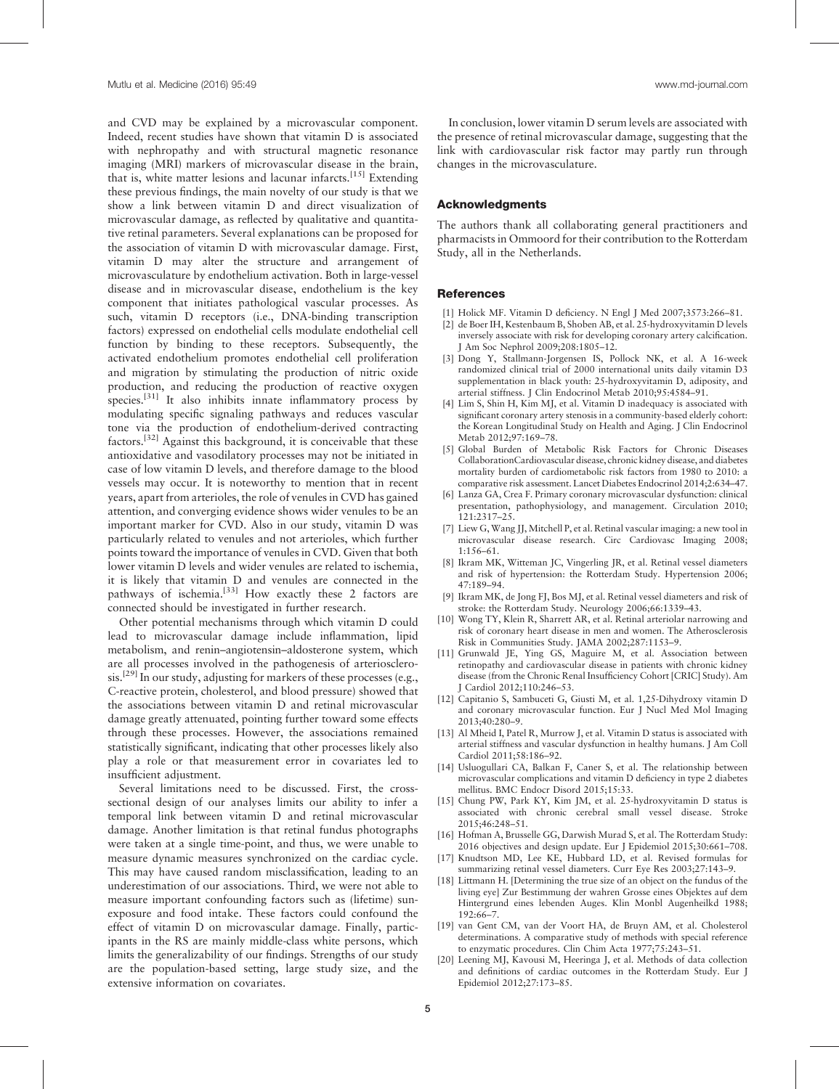<span id="page-4-0"></span>and CVD may be explained by a microvascular component. Indeed, recent studies have shown that vitamin D is associated with nephropathy and with structural magnetic resonance imaging (MRI) markers of microvascular disease in the brain, that is, white matter lesions and lacunar infarcts.<sup>[15]</sup> Extending these previous findings, the main novelty of our study is that we show a link between vitamin D and direct visualization of microvascular damage, as reflected by qualitative and quantitative retinal parameters. Several explanations can be proposed for the association of vitamin D with microvascular damage. First, vitamin D may alter the structure and arrangement of microvasculature by endothelium activation. Both in large-vessel disease and in microvascular disease, endothelium is the key component that initiates pathological vascular processes. As such, vitamin D receptors (i.e., DNA-binding transcription factors) expressed on endothelial cells modulate endothelial cell function by binding to these receptors. Subsequently, the activated endothelium promotes endothelial cell proliferation and migration by stimulating the production of nitric oxide production, and reducing the production of reactive oxygen species.<sup>[\[31\]](#page-5-0)</sup> It also inhibits innate inflammatory process by modulating specific signaling pathways and reduces vascular tone via the production of endothelium-derived contracting factors.[\[32\]](#page-5-0) Against this background, it is conceivable that these antioxidative and vasodilatory processes may not be initiated in case of low vitamin D levels, and therefore damage to the blood vessels may occur. It is noteworthy to mention that in recent years, apart from arterioles, the role of venules in CVD has gained attention, and converging evidence shows wider venules to be an important marker for CVD. Also in our study, vitamin D was particularly related to venules and not arterioles, which further points toward the importance of venules in CVD. Given that both lower vitamin D levels and wider venules are related to ischemia, it is likely that vitamin D and venules are connected in the pathways of ischemia.<sup>[\[33\]](#page-5-0)</sup> How exactly these 2 factors are connected should be investigated in further research.

Other potential mechanisms through which vitamin D could lead to microvascular damage include inflammation, lipid metabolism, and renin–angiotensin–aldosterone system, which are all processes involved in the pathogenesis of arteriosclero- $\sin$ <sup>[\[29\]](#page-5-0)</sup> In our study, adjusting for markers of these processes (e.g., C-reactive protein, cholesterol, and blood pressure) showed that the associations between vitamin D and retinal microvascular damage greatly attenuated, pointing further toward some effects through these processes. However, the associations remained statistically significant, indicating that other processes likely also play a role or that measurement error in covariates led to insufficient adjustment.

Several limitations need to be discussed. First, the crosssectional design of our analyses limits our ability to infer a temporal link between vitamin D and retinal microvascular damage. Another limitation is that retinal fundus photographs were taken at a single time-point, and thus, we were unable to measure dynamic measures synchronized on the cardiac cycle. This may have caused random misclassification, leading to an underestimation of our associations. Third, we were not able to measure important confounding factors such as (lifetime) sunexposure and food intake. These factors could confound the effect of vitamin D on microvascular damage. Finally, participants in the RS are mainly middle-class white persons, which limits the generalizability of our findings. Strengths of our study are the population-based setting, large study size, and the extensive information on covariates.

In conclusion, lower vitamin D serum levels are associated with the presence of retinal microvascular damage, suggesting that the link with cardiovascular risk factor may partly run through changes in the microvasculature.

#### Acknowledgments

The authors thank all collaborating general practitioners and pharmacists in Ommoord for their contribution to the Rotterdam Study, all in the Netherlands.

## **References**

- [1] Holick MF. Vitamin D deficiency. N Engl J Med 2007;3573:266-81.
- [2] de Boer IH, Kestenbaum B, Shoben AB, et al. 25-hydroxyvitamin D levels inversely associate with risk for developing coronary artery calcification. J Am Soc Nephrol 2009;208:1805–12.
- [3] Dong Y, Stallmann-Jorgensen IS, Pollock NK, et al. A 16-week randomized clinical trial of 2000 international units daily vitamin D3 supplementation in black youth: 25-hydroxyvitamin D, adiposity, and arterial stiffness. J Clin Endocrinol Metab 2010;95:4584–91.
- [4] Lim S, Shin H, Kim MJ, et al. Vitamin D inadequacy is associated with significant coronary artery stenosis in a community-based elderly cohort: the Korean Longitudinal Study on Health and Aging. J Clin Endocrinol Metab 2012;97:169–78.
- [5] Global Burden of Metabolic Risk Factors for Chronic Diseases CollaborationCardiovascular disease, chronic kidney disease, and diabetes mortality burden of cardiometabolic risk factors from 1980 to 2010: a comparative risk assessment. Lancet Diabetes Endocrinol 2014;2:634–47.
- [6] Lanza GA, Crea F. Primary coronary microvascular dysfunction: clinical presentation, pathophysiology, and management. Circulation 2010; 121:2317–25.
- [7] Liew G, Wang JJ, Mitchell P, et al. Retinal vascular imaging: a new tool in microvascular disease research. Circ Cardiovasc Imaging 2008; 1:156–61.
- [8] Ikram MK, Witteman JC, Vingerling JR, et al. Retinal vessel diameters and risk of hypertension: the Rotterdam Study. Hypertension 2006; 47:189–94.
- [9] Ikram MK, de Jong FJ, Bos MJ, et al. Retinal vessel diameters and risk of stroke: the Rotterdam Study. Neurology 2006;66:1339–43.
- [10] Wong TY, Klein R, Sharrett AR, et al. Retinal arteriolar narrowing and risk of coronary heart disease in men and women. The Atherosclerosis Risk in Communities Study. JAMA 2002;287:1153–9.
- [11] Grunwald JE, Ying GS, Maguire M, et al. Association between retinopathy and cardiovascular disease in patients with chronic kidney disease (from the Chronic Renal Insufficiency Cohort [CRIC] Study). Am J Cardiol 2012;110:246–53.
- [12] Capitanio S, Sambuceti G, Giusti M, et al. 1,25-Dihydroxy vitamin D and coronary microvascular function. Eur J Nucl Med Mol Imaging 2013;40:280–9.
- [13] Al Mheid I, Patel R, Murrow J, et al. Vitamin D status is associated with arterial stiffness and vascular dysfunction in healthy humans. J Am Coll Cardiol 2011;58:186–92.
- [14] Usluogullari CA, Balkan F, Caner S, et al. The relationship between microvascular complications and vitamin D deficiency in type 2 diabetes mellitus. BMC Endocr Disord 2015;15:33.
- [15] Chung PW, Park KY, Kim JM, et al. 25-hydroxyvitamin D status is associated with chronic cerebral small vessel disease. Stroke 2015;46:248–51.
- [16] Hofman A, Brusselle GG, Darwish Murad S, et al. The Rotterdam Study: 2016 objectives and design update. Eur J Epidemiol 2015;30:661–708.
- [17] Knudtson MD, Lee KE, Hubbard LD, et al. Revised formulas for summarizing retinal vessel diameters. Curr Eye Res 2003;27:143–9.
- [18] Littmann H. [Determining the true size of an object on the fundus of the living eye] Zur Bestimmung der wahren Grosse eines Objektes auf dem Hintergrund eines lebenden Auges. Klin Monbl Augenheilkd 1988; 192:66–7.
- [19] van Gent CM, van der Voort HA, de Bruyn AM, et al. Cholesterol determinations. A comparative study of methods with special reference to enzymatic procedures. Clin Chim Acta 1977;75:243–51.
- [20] Leening MJ, Kavousi M, Heeringa J, et al. Methods of data collection and definitions of cardiac outcomes in the Rotterdam Study. Eur J Epidemiol 2012;27:173–85.